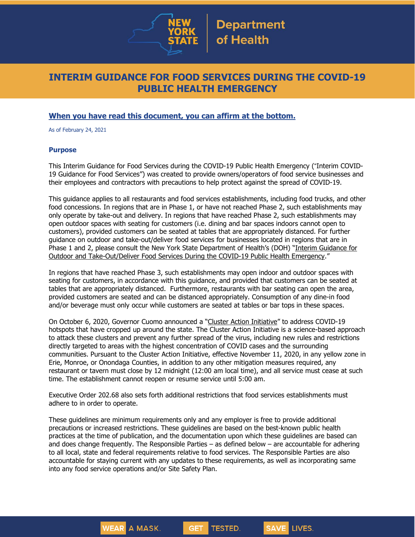

# **INTERIM GUIDANCE FOR FOOD SERVICES DURING THE COVID-19 PUBLIC HEALTH EMERGENCY**

### **When you have read this document, you can affirm at the bottom.**

As of February 24, 2021

#### **Purpose**

This Interim Guidance for Food Services during the COVID-19 Public Health Emergency ("Interim COVID-19 Guidance for Food Services") was created to provide owners/operators of food service businesses and their employees and contractors with precautions to help protect against the spread of COVID-19.

This guidance applies to all restaurants and food services establishments, including food trucks, and other food concessions. In regions that are in Phase 1, or have not reached Phase 2, such establishments may only operate by take-out and delivery. In regions that have reached Phase 2, such establishments may open outdoor spaces with seating for customers (i.e. dining and bar spaces indoors cannot open to customers), provided customers can be seated at tables that are appropriately distanced. For further guidance on outdoor and take-out/deliver food services for businesses located in regions that are in Phase 1 and 2, please consult the New York State Department of Health's (DOH) "Interim [Guidance](https://www.governor.ny.gov/sites/governor.ny.gov/files/atoms/files/OutdoorTakeoutDeliveryFoodServicesMasterGuidance.pdf) for Outdoor and [Take-Out/Deliver](https://www.governor.ny.gov/sites/governor.ny.gov/files/atoms/files/OutdoorTakeoutDeliveryFoodServicesMasterGuidance.pdf) Food Services During the COVID-19 Public Health Emergency."

In regions that have reached Phase 3, such establishments may open indoor and outdoor spaces with seating for customers, in accordance with this guidance, and provided that customers can be seated at tables that are appropriately distanced. Furthermore, restaurants with bar seating can open the area, provided customers are seated and can be distanced appropriately. Consumption of any dine-in food and/or beverage must only occur while customers are seated at tables or bar tops in these spaces.

On October 6, 2020, Governor Cuomo announced a "Cluster Action [Initiative](https://www.governor.ny.gov/news/governor-cuomo-announces-new-cluster-action-initiative)" to address COVID-19 hotspots that have cropped up around the state. The Cluster Action Initiative is a science-based approach to attack these clusters and prevent any further spread of the virus, including new rules and restrictions directly targeted to areas with the highest concentration of COVID cases and the surrounding communities. Pursuant to the Cluster Action Initiative, effective November 11, 2020, in any yellow zone in Erie, Monroe, or Onondaga Counties, in addition to any other mitigation measures required, any restaurant or tavern must close by 12 midnight (12:00 am local time), and all service must cease at such time. The establishment cannot reopen or resume service until 5:00 am.

Executive Order 202.68 also sets forth additional restrictions that food services establishments must adhere to in order to operate.

These guidelines are minimum requirements only and any employer is free to provide additional precautions or increased restrictions. These guidelines are based on the best-known public health practices at the time of publication, and the documentation upon which these guidelines are based can and does change frequently. The Responsible Parties – as defined below – are accountable for adhering to all local, state and federal requirements relative to food services. The Responsible Parties are also accountable for staying current with any updates to these requirements, as well as incorporating same into any food service operations and/or Site Safety Plan.

**GET** 

**TESTED.** 

**SAVE LIVES.** 

WEAR A MASK.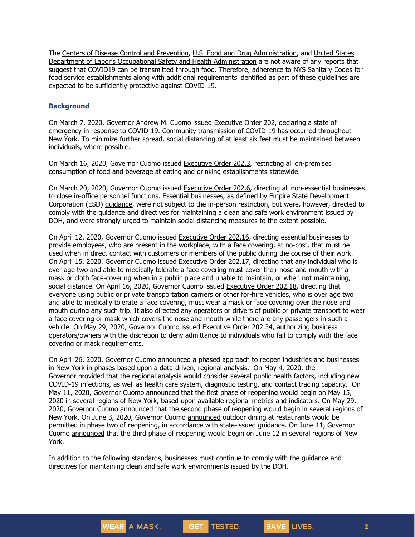The Centers of Disease Control and Prevention, U.S. Food and Drug [Administration,](https://www.fda.gov/food/food-safety-during-emergencies/food-safety-and-coronavirus-disease-2019-covid-19) and United States Department of Labor's [Occupational](https://www.cdc.gov/foodsafety/newsletter/food-safety-and-Coronavirus.html) Safety and Health [Administration](https://www.osha.gov/Publications/OSHA3990.pdf) are not aware of any [reports](https://www.osha.gov/Publications/OSHA3990.pdf) that suggest that COVID19 can be transmitted through food. Therefore, adherence to NYS Sanitary Codes for food service establishments along with additional requirements identified as part of these guidelines are expected to be sufficiently protective against COVID-19.

#### **Background**

On March 7, 2020, Governor Andrew M. Cuomo issued [Executive](https://www.governor.ny.gov/news/no-202-declaring-disaster-emergency-state-new-york) Order 202, declaring a state of emergency in response to COVID-19. Community transmission of COVID-19 has occurred throughout New York. To minimize further spread, social distancing of at least six feet must be maintained between individuals, where possible.

On March 16, 2020, Governor Cuomo issued [Executive](https://www.governor.ny.gov/news/no-2023-continuing-temporary-suspension-and-modification-laws-relating-disaster-emergency) Order 202.3, restricting all on-premises consumption of food and beverage at eating and drinking establishments statewide.

On March 20, 2020, Governor Cuomo issued [Executive](https://www.governor.ny.gov/news/no-2026-continuing-temporary-suspension-and-modification-laws-relating-disaster-emergency) Order 202.6, directing all non-essential businesses to close in-office personnel functions. Essential businesses, as defined by Empire State Development Corporation (ESD) [guidance,](https://esd.ny.gov/guidance-executive-order-2026) were not subject to the in-person restriction, but were, however, directed to comply with the guidance and directives for maintaining a clean and safe work environment issued by DOH, and were strongly urged to maintain social distancing measures to the extent possible.

On April 12, 2020, Governor Cuomo issued [Executive](https://www.governor.ny.gov/news/no-20216-continuing-temporary-suspension-and-modification-laws-relating-disaster-emergency) Order 202.16, directing essential businesses to provide employees, who are present in the workplace, with a face covering, at no-cost, that must be used when in direct contact with customers or members of the public during the course of their work. On April 15, 2020, Governor Cuomo issued [Executive](https://www.governor.ny.gov/news/no-20217-continuing-temporary-suspension-and-modification-laws-relating-disaster-emergency) Order 202.17, directing that any individual who is over age two and able to medically tolerate a face-covering must cover their nose and mouth with a mask or cloth face-covering when in a public place and unable to maintain, or when not maintaining, social distance. On April 16, 2020, Governor Cuomo issued [Executive](https://www.governor.ny.gov/news/no-20218-continuing-temporary-suspension-and-modification-laws-relating-disaster-emergency) Order 202.18, directing that everyone using public or private transportation carriers or other for-hire vehicles, who is over age two and able to medically tolerate a face covering, must wear a mask or face covering over the nose and mouth during any such trip. It also directed any operators or drivers of public or private transport to wear a face covering or mask which covers the nose and mouth while there are any passengers in such a vehicle. On May 29, 2020, Governor Cuomo issued [Executive](https://www.governor.ny.gov/news/no-20234-continuing-temporary-suspension-and-modification-laws-relating-disaster-emergency) Order 202.34, authorizing business operators/owners with the discretion to deny admittance to individuals who fail to comply with the face covering or mask requirements.

On April 26, 2020, Governor Cuomo [announced](https://www.governor.ny.gov/news/amid-ongoing-covid-19-pandemic-governor-cuomo-outlines-phased-plan-re-open-new-york-starting) a phased approach to reopen industries and businesses in New York in phases based upon a data-driven, regional analysis. On May 4, 2020, the Governor [provided](https://www.governor.ny.gov/news/amid-ongoing-covid-19-pandemic-governor-cuomo-outlines-additional-guidelines-when-regions-can) that the regional analysis would consider several public health factors, including new COVID-19 infections, as well as health care system, diagnostic testing, and contact tracing capacity. On May 11, 2020, Governor Cuomo [announced](https://www.governor.ny.gov/news/amid-ongoing-covid-19-pandemic-governor-cuomo-announces-three-regions-new-york-state-ready) that the first phase of reopening would begin on May 15, 2020 in several regions of New York, based upon available regional metrics and indicators. On May 29, 2020, Governor Cuomo [announced](https://www.governor.ny.gov/news/governor-cuomo-announces-new-york-city-enter-phase-1-reopening-june-8-and-five-regions-enter) that the second phase of reopening would begin in several regions of New York. On June 3, 2020, Governor Cuomo [announced](https://www.governor.ny.gov/news/governor-cuomo-announces-outdoor-dining-restaurants-will-be-permitted-phase-two-reopening) outdoor dining at restaurants would be permitted in phase two of reopening, in accordance with state-issued guidance. On June 11, Governor Cuomo [announced](https://www.governor.ny.gov/news/governor-cuomo-announces-five-regions-will-enter-phase-three-reopening-tomorrow) that the third phase of reopening would begin on June 12 in several regions of New York.

In addition to the following standards, businesses must continue to comply with the guidance and directives for maintaining clean and safe work environments issued by the DOH.

**GET** 

TESTED.

WEAR A MASK.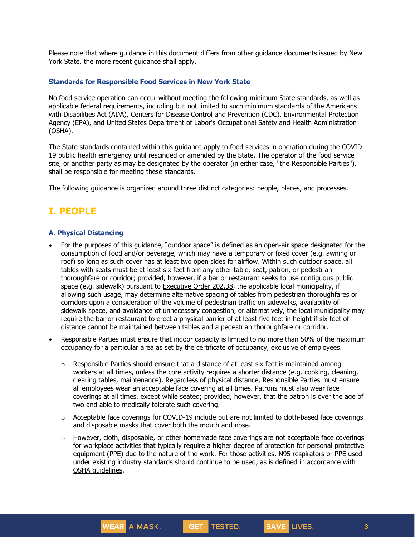Please note that where guidance in this document differs from other guidance documents issued by New York State, the more recent guidance shall apply.

#### **Standards for Responsible Food Services in New York State**

No food service operation can occur without meeting the following minimum State standards, as well as applicable federal requirements, including but not limited to such minimum standards of the Americans with Disabilities Act (ADA), Centers for Disease Control and Prevention (CDC), Environmental Protection Agency (EPA), and United States Department of Labor's Occupational Safety and Health Administration (OSHA).

The State standards contained within this guidance apply to food services in operation during the COVID-19 public health emergency until rescinded or amended by the State. The operator of the food service site, or another party as may be designated by the operator (in either case, "the Responsible Parties"), shall be responsible for meeting these standards.

The following guidance is organized around three distinct categories: people, places, and processes.

# **I. PEOPLE**

#### **A. Physical Distancing**

- For the purposes of this guidance, "outdoor space" is defined as an open-air space designated for the consumption of food and/or beverage, which may have a temporary or fixed cover (e.g. awning or roof) so long as such cover has at least two open sides for airflow. Within such outdoor space, all tables with seats must be at least six feet from any other table, seat, patron, or pedestrian thoroughfare or corridor; provided, however, if a bar or restaurant seeks to use contiguous public space (e.g. sidewalk) pursuant to [Executive Order 202.38,](https://www.governor.ny.gov/news/no-20238-continuing-temporary-suspension-and-modification-laws-relating-disaster-emergency) the applicable local municipality, if allowing such usage, may determine alternative spacing of tables from pedestrian thoroughfares or corridors upon a consideration of the volume of pedestrian traffic on sidewalks, availability of sidewalk space, and avoidance of unnecessary congestion, or alternatively, the local municipality may require the bar or restaurant to erect a physical barrier of at least five feet in height if six feet of distance cannot be maintained between tables and a pedestrian thoroughfare or corridor.
- Responsible Parties must ensure that indoor capacity is limited to no more than 50% of the maximum occupancy for a particular area as set by the certificate of occupancy, exclusive of employees.
	- $\circ$  Responsible Parties should ensure that a distance of at least six feet is maintained among workers at all times, unless the core activity requires a shorter distance (e.g. cooking, cleaning, clearing tables, maintenance). Regardless of physical distance, Responsible Parties must ensure all employees wear an acceptable face covering at all times. Patrons must also wear face coverings at all times, except while seated; provided, however, that the patron is over the age of two and able to medically tolerate such covering.
	- $\circ$  Acceptable face coverings for COVID-19 include but are not limited to cloth-based face coverings and disposable masks that cover both the mouth and nose.
	- $\circ$  However, cloth, disposable, or other homemade face coverings are not acceptable face coverings for workplace activities that typically require a higher degree of protection for personal protective equipment (PPE) due to the nature of the work. For those activities, N95 respirators or PPE used under existing industry standards should continue to be used, as is defined in accordance with OSHA [guidelines.](https://www.osha.gov/SLTC/personalprotectiveequipment/)

GET TESTED.

SAVE LIVES.

WEAR A MASK.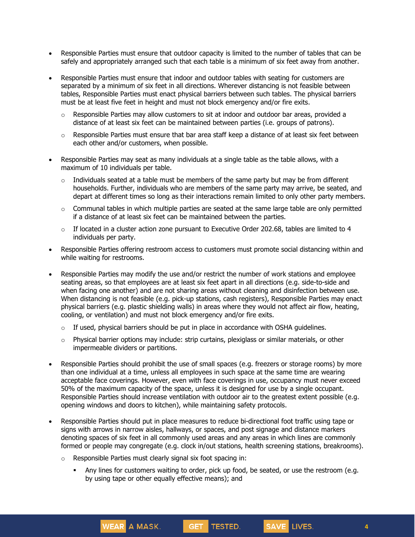- Responsible Parties must ensure that outdoor capacity is limited to the number of tables that can be safely and appropriately arranged such that each table is a minimum of six feet away from another.
- Responsible Parties must ensure that indoor and outdoor tables with seating for customers are separated by a minimum of six feet in all directions. Wherever distancing is not feasible between tables, Responsible Parties must enact physical barriers between such tables. The physical barriers must be at least five feet in height and must not block emergency and/or fire exits.
	- $\circ$  Responsible Parties may allow customers to sit at indoor and outdoor bar areas, provided a distance of at least six feet can be maintained between parties (i.e. groups of patrons).
	- $\circ$  Responsible Parties must ensure that bar area staff keep a distance of at least six feet between each other and/or customers, when possible.
- Responsible Parties may seat as many individuals at a single table as the table allows, with a maximum of 10 individuals per table.
	- $\circ$  Individuals seated at a table must be members of the same party but may be from different households. Further, individuals who are members of the same party may arrive, be seated, and depart at different times so long as their interactions remain limited to only other party members.
	- o Communal tables in which multiple parties are seated at the same large table are only permitted if a distance of at least six feet can be maintained between the parties.
	- $\circ$  If located in a cluster action zone pursuant to Executive Order 202.68, tables are limited to 4 individuals per party.
- Responsible Parties offering restroom access to customers must promote social distancing within and while waiting for restrooms.
- Responsible Parties may modify the use and/or restrict the number of work stations and employee seating areas, so that employees are at least six feet apart in all directions (e.g. side-to-side and when facing one another) and are not sharing areas without cleaning and disinfection between use. When distancing is not feasible (e.g. pick-up stations, cash registers), Responsible Parties may enact physical barriers (e.g. plastic shielding walls) in areas where they would not affect air flow, heating, cooling, or ventilation) and must not block emergency and/or fire exits.
	- $\circ$  If used, physical barriers should be put in place in accordance with OSHA quidelines.
	- o Physical barrier options may include: strip curtains, plexiglass or similar materials, or other impermeable dividers or partitions.
- Responsible Parties should prohibit the use of small spaces (e.g. freezers or storage rooms) by more than one individual at a time, unless all employees in such space at the same time are wearing acceptable face coverings. However, even with face coverings in use, occupancy must never exceed 50% of the maximum capacity of the space, unless it is designed for use by a single occupant. Responsible Parties should increase ventilation with outdoor air to the greatest extent possible (e.g. opening windows and doors to kitchen), while maintaining safety protocols.
- Responsible Parties should put in place measures to reduce bi-directional foot traffic using tape or signs with arrows in narrow aisles, hallways, or spaces, and post signage and distance markers denoting spaces of six feet in all commonly used areas and any areas in which lines are commonly formed or people may congregate (e.g. clock in/out stations, health screening stations, breakrooms).
	- o Responsible Parties must clearly signal six foot spacing in:

WEAR A MASK.

▪ Any lines for customers waiting to order, pick up food, be seated, or use the restroom (e.g. by using tape or other equally effective means); and

GET TESTED.

SAVE LIVES.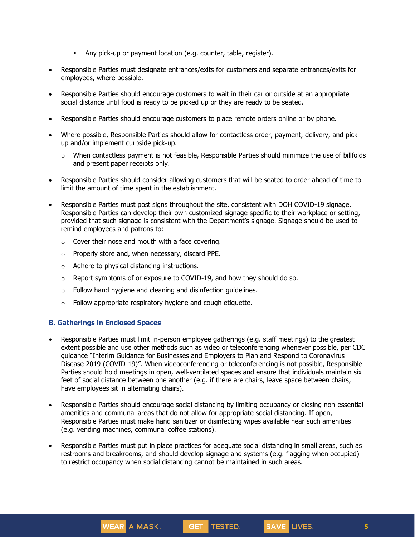- **EXECT** Any pick-up or payment location (e.g. counter, table, register).
- Responsible Parties must designate entrances/exits for customers and separate entrances/exits for employees, where possible.
- Responsible Parties should encourage customers to wait in their car or outside at an appropriate social distance until food is ready to be picked up or they are ready to be seated.
- Responsible Parties should encourage customers to place remote orders online or by phone.
- Where possible, Responsible Parties should allow for contactless order, payment, delivery, and pickup and/or implement curbside pick-up.
	- $\circ$  When contactless payment is not feasible, Responsible Parties should minimize the use of billfolds and present paper receipts only.
- Responsible Parties should consider allowing customers that will be seated to order ahead of time to limit the amount of time spent in the establishment.
- Responsible Parties must post signs throughout the site, consistent with DOH COVID-19 signage. Responsible Parties can develop their own customized signage specific to their workplace or setting, provided that such signage is consistent with the Department's signage. Signage should be used to remind employees and patrons to:
	- $\circ$  Cover their nose and mouth with a face covering.
	- o Properly store and, when necessary, discard PPE.

WEAR A MASK.

- o Adhere to physical distancing instructions.
- $\circ$  Report symptoms of or exposure to COVID-19, and how they should do so.
- o Follow hand hygiene and cleaning and disinfection guidelines.
- o Follow appropriate respiratory hygiene and cough etiquette.

### **B. Gatherings in Enclosed Spaces**

- Responsible Parties must limit in-person employee gatherings (e.g. staff meetings) to the greatest extent possible and use other methods such as video or teleconferencing whenever possible, per CDC guidance "Interim Guidance for Businesses and Employers to Plan and Respond to [Coronavirus](https://www.cdc.gov/coronavirus/2019-ncov/community/guidance-business-response.html) Disease 2019 [\(COVID-19\)](https://www.cdc.gov/coronavirus/2019-ncov/community/guidance-business-response.html)". When videoconferencing or teleconferencing is not possible, Responsible Parties should hold meetings in open, well-ventilated spaces and ensure that individuals maintain six feet of social distance between one another (e.g. if there are chairs, leave space between chairs, have employees sit in alternating chairs).
- Responsible Parties should encourage social distancing by limiting occupancy or closing non-essential amenities and communal areas that do not allow for appropriate social distancing. If open, Responsible Parties must make hand sanitizer or disinfecting wipes available near such amenities (e.g. vending machines, communal coffee stations).
- Responsible Parties must put in place practices for adequate social distancing in small areas, such as restrooms and breakrooms, and should develop signage and systems (e.g. flagging when occupied) to restrict occupancy when social distancing cannot be maintained in such areas.

GET TESTED.

SAVE LIVES.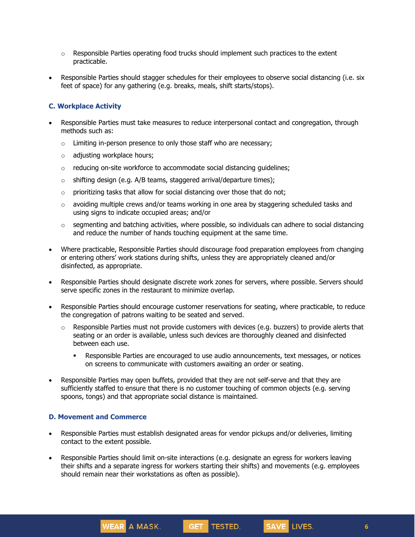- $\circ$  Responsible Parties operating food trucks should implement such practices to the extent practicable.
- Responsible Parties should stagger schedules for their employees to observe social distancing (i.e. six feet of space) for any gathering (e.g. breaks, meals, shift starts/stops).

### **C. Workplace Activity**

- Responsible Parties must take measures to reduce interpersonal contact and congregation, through methods such as:
	- $\circ$  Limiting in-person presence to only those staff who are necessary;
	- o adjusting workplace hours;
	- o reducing on-site workforce to accommodate social distancing guidelines;
	- $\circ$  shifting design (e.g. A/B teams, staggered arrival/departure times);
	- $\circ$  prioritizing tasks that allow for social distancing over those that do not;
	- $\circ$  avoiding multiple crews and/or teams working in one area by staggering scheduled tasks and using signs to indicate occupied areas; and/or
	- $\circ$  segmenting and batching activities, where possible, so individuals can adhere to social distancing and reduce the number of hands touching equipment at the same time.
- Where practicable, Responsible Parties should discourage food preparation employees from changing or entering others' work stations during shifts, unless they are appropriately cleaned and/or disinfected, as appropriate.
- Responsible Parties should designate discrete work zones for servers, where possible. Servers should serve specific zones in the restaurant to minimize overlap.
- Responsible Parties should encourage customer reservations for seating, where practicable, to reduce the congregation of patrons waiting to be seated and served.
	- Responsible Parties must not provide customers with devices (e.g. buzzers) to provide alerts that seating or an order is available, unless such devices are thoroughly cleaned and disinfected between each use.
		- **Responsible Parties are encouraged to use audio announcements, text messages, or notices** on screens to communicate with customers awaiting an order or seating.
- Responsible Parties may open buffets, provided that they are not self-serve and that they are sufficiently staffed to ensure that there is no customer touching of common objects (e.g. serving spoons, tongs) and that appropriate social distance is maintained.

#### **D. Movement and Commerce**

WEAR A MASK.

- Responsible Parties must establish designated areas for vendor pickups and/or deliveries, limiting contact to the extent possible.
- Responsible Parties should limit on-site interactions (e.g. designate an egress for workers leaving their shifts and a separate ingress for workers starting their shifts) and movements (e.g. employees should remain near their workstations as often as possible).

GET TESTED.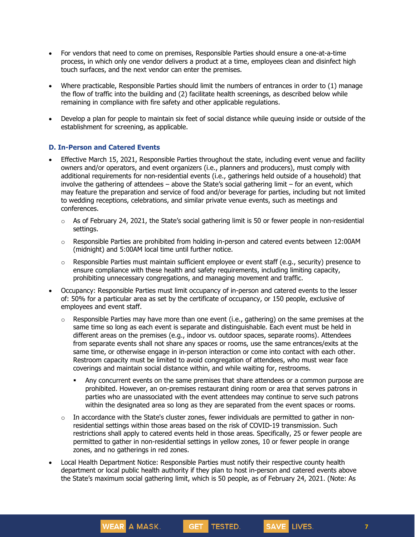- For vendors that need to come on premises, Responsible Parties should ensure a one-at-a-time process, in which only one vendor delivers a product at a time, employees clean and disinfect high touch surfaces, and the next vendor can enter the premises.
- Where practicable, Responsible Parties should limit the numbers of entrances in order to (1) manage the flow of traffic into the building and (2) facilitate health screenings, as described below while remaining in compliance with fire safety and other applicable regulations.
- Develop a plan for people to maintain six feet of social distance while queuing inside or outside of the establishment for screening, as applicable.

#### **D. In-Person and Catered Events**

- Effective March 15, 2021, Responsible Parties throughout the state, including event venue and facility owners and/or operators, and event organizers (i.e., planners and producers), must comply with additional requirements for non-residential events (i.e., gatherings held outside of a household) that involve the gathering of attendees – above the State's social gathering limit – for an event, which may feature the preparation and service of food and/or beverage for parties, including but not limited to wedding receptions, celebrations, and similar private venue events, such as meetings and conferences.
	- $\circ$  As of February 24, 2021, the State's social gathering limit is 50 or fewer people in non-residential settings.
	- $\circ$  Responsible Parties are prohibited from holding in-person and catered events between 12:00AM (midnight) and 5:00AM local time until further notice.
	- $\circ$  Responsible Parties must maintain sufficient employee or event staff (e.g., security) presence to ensure compliance with these health and safety requirements, including limiting capacity, prohibiting unnecessary congregations, and managing movement and traffic.
- Occupancy: Responsible Parties must limit occupancy of in-person and catered events to the lesser of: 50% for a particular area as set by the certificate of occupancy, or 150 people, exclusive of employees and event staff.
	- $\circ$  Responsible Parties may have more than one event (i.e., gathering) on the same premises at the same time so long as each event is separate and distinguishable. Each event must be held in different areas on the premises (e.g., indoor vs. outdoor spaces, separate rooms). Attendees from separate events shall not share any spaces or rooms, use the same entrances/exits at the same time, or otherwise engage in in-person interaction or come into contact with each other. Restroom capacity must be limited to avoid congregation of attendees, who must wear face coverings and maintain social distance within, and while waiting for, restrooms.
		- **Any concurrent events on the same premises that share attendees or a common purpose are** prohibited. However, an on-premises restaurant dining room or area that serves patrons in parties who are unassociated with the event attendees may continue to serve such patrons within the designated area so long as they are separated from the event spaces or rooms.
	- $\circ$  In accordance with the State's cluster zones, fewer individuals are permitted to gather in nonresidential settings within those areas based on the risk of COVID-19 transmission. Such restrictions shall apply to catered events held in those areas. Specifically, 25 or fewer people are permitted to gather in non-residential settings in yellow zones, 10 or fewer people in orange zones, and no gatherings in red zones.

GET TESTED.

SAVE LIVES.

• Local Health Department Notice: Responsible Parties must notify their respective county health department or local public health authority if they plan to host in-person and catered events above the State's maximum social gathering limit, which is 50 people, as of February 24, 2021. (Note: As

WEAR A MASK.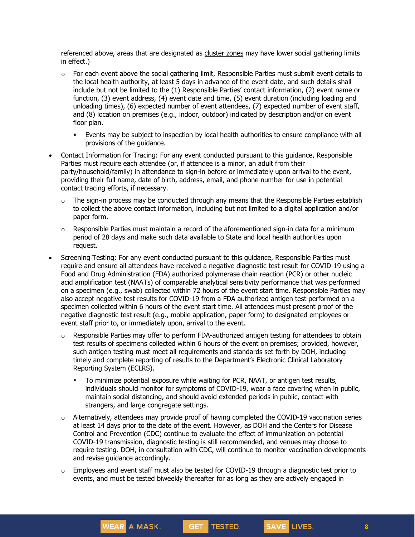referenced above, areas that are designated as [cluster](https://forward.ny.gov/micro-cluster-strategy) zones may have lower social gathering limits in effect.)

- $\circ$  For each event above the social gathering limit, Responsible Parties must submit event details to the local health authority, at least 5 days in advance of the event date, and such details shall include but not be limited to the (1) Responsible Parties' contact information, (2) event name or function, (3) event address, (4) event date and time, (5) event duration (including loading and unloading times), (6) expected number of event attendees, (7) expected number of event staff, and (8) location on premises (e.g., indoor, outdoor) indicated by description and/or on event floor plan.
	- Events may be subject to inspection by local health authorities to ensure compliance with all provisions of the guidance.
- Contact Information for Tracing: For any event conducted pursuant to this guidance, Responsible Parties must require each attendee (or, if attendee is a minor, an adult from their party/household/family) in attendance to sign-in before or immediately upon arrival to the event, providing their full name, date of birth, address, email, and phone number for use in potential contact tracing efforts, if necessary.
	- $\circ$  The sign-in process may be conducted through any means that the Responsible Parties establish to collect the above contact information, including but not limited to a digital application and/or paper form.
	- $\circ$  Responsible Parties must maintain a record of the aforementioned sign-in data for a minimum period of 28 days and make such data available to State and local health authorities upon request.
- Screening Testing: For any event conducted pursuant to this guidance, Responsible Parties must require and ensure all attendees have received a negative diagnostic test result for COVID-19 using a Food and Drug Administration (FDA) authorized polymerase chain reaction (PCR) or other nucleic acid amplification test (NAATs) of comparable analytical sensitivity performance that was performed on a specimen (e.g., swab) collected within 72 hours of the event start time. Responsible Parties may also accept negative test results for COVID-19 from a FDA authorized antigen test performed on a specimen collected within 6 hours of the event start time. All attendees must present proof of the negative diagnostic test result (e.g., mobile application, paper form) to designated employees or event staff prior to, or immediately upon, arrival to the event.
	- o Responsible Parties may offer to perform FDA-authorized antigen testing for attendees to obtain test results of specimens collected within 6 hours of the event on premises; provided, however, such antigen testing must meet all requirements and standards set forth by DOH, including timely and complete reporting of results to the Department's Electronic Clinical Laboratory Reporting System (ECLRS).
		- **•** To minimize potential exposure while waiting for PCR, NAAT, or antigen test results, individuals should monitor for symptoms of COVID-19, wear a face covering when in public, maintain social distancing, and should avoid extended periods in public, contact with strangers, and large congregate settings.
	- $\circ$  Alternatively, attendees may provide proof of having completed the COVID-19 vaccination series at least 14 days prior to the date of the event. However, as DOH and the Centers for Disease Control and Prevention (CDC) continue to evaluate the effect of immunization on potential COVID-19 transmission, diagnostic testing is still recommended, and venues may choose to require testing. DOH, in consultation with CDC, will continue to monitor vaccination developments and revise guidance accordingly.
	- $\circ$  Employees and event staff must also be tested for COVID-19 through a diagnostic test prior to events, and must be tested biweekly thereafter for as long as they are actively engaged in

GET TESTED.

SAVE LIVES.

WEAR A MASK.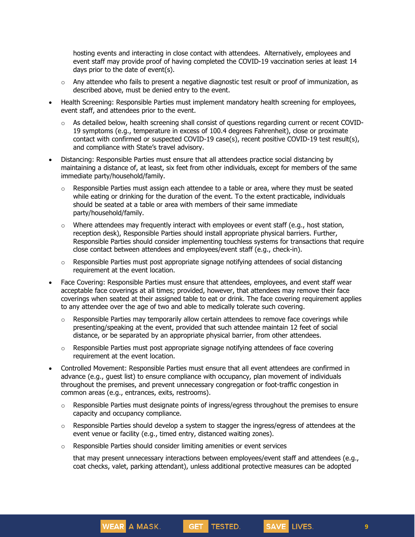hosting events and interacting in close contact with attendees. Alternatively, employees and event staff may provide proof of having completed the COVID-19 vaccination series at least 14 days prior to the date of event(s).

- $\circ$  Any attendee who fails to present a negative diagnostic test result or proof of immunization, as described above, must be denied entry to the event.
- Health Screening: Responsible Parties must implement mandatory health screening for employees, event staff, and attendees prior to the event.
	- o As detailed below, health screening shall consist of questions regarding current or recent COVID-19 symptoms (e.g., temperature in excess of 100.4 degrees Fahrenheit), close or proximate contact with confirmed or suspected COVID-19 case(s), recent positive COVID-19 test result(s), and compliance with State's travel advisory.
- Distancing: Responsible Parties must ensure that all attendees practice social distancing by maintaining a distance of, at least, six feet from other individuals, except for members of the same immediate party/household/family.
	- $\circ$  Responsible Parties must assign each attendee to a table or area, where they must be seated while eating or drinking for the duration of the event. To the extent practicable, individuals should be seated at a table or area with members of their same immediate party/household/family.
	- $\circ$  Where attendees may frequently interact with employees or event staff (e.g., host station, reception desk), Responsible Parties should install appropriate physical barriers. Further, Responsible Parties should consider implementing touchless systems for transactions that require close contact between attendees and employees/event staff (e.g., check-in).
	- $\circ$  Responsible Parties must post appropriate signage notifying attendees of social distancing requirement at the event location.
- Face Covering: Responsible Parties must ensure that attendees, employees, and event staff wear acceptable face coverings at all times; provided, however, that attendees may remove their face coverings when seated at their assigned table to eat or drink. The face covering requirement applies to any attendee over the age of two and able to medically tolerate such covering.
	- $\circ$  Responsible Parties may temporarily allow certain attendees to remove face coverings while presenting/speaking at the event, provided that such attendee maintain 12 feet of social distance, or be separated by an appropriate physical barrier, from other attendees.
	- $\circ$  Responsible Parties must post appropriate signage notifying attendees of face covering requirement at the event location.
- Controlled Movement: Responsible Parties must ensure that all event attendees are confirmed in advance (e.g., guest list) to ensure compliance with occupancy, plan movement of individuals throughout the premises, and prevent unnecessary congregation or foot-traffic congestion in common areas (e.g., entrances, exits, restrooms).
	- $\circ$  Responsible Parties must designate points of ingress/egress throughout the premises to ensure capacity and occupancy compliance.
	- o Responsible Parties should develop a system to stagger the ingress/egress of attendees at the event venue or facility (e.g., timed entry, distanced waiting zones).
	- o Responsible Parties should consider limiting amenities or event services

WEAR A MASK.

that may present unnecessary interactions between employees/event staff and attendees (e.g., coat checks, valet, parking attendant), unless additional protective measures can be adopted

GET TESTED.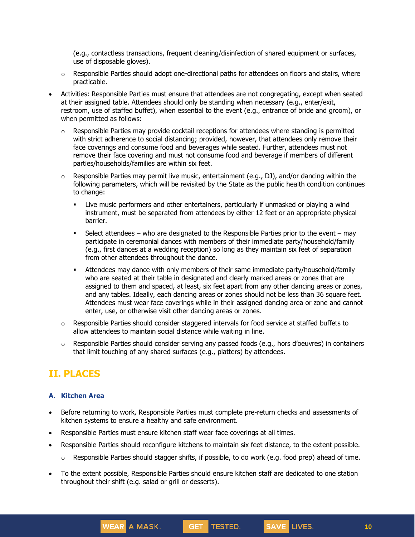(e.g., contactless transactions, frequent cleaning/disinfection of shared equipment or surfaces, use of disposable gloves).

- $\circ$  Responsible Parties should adopt one-directional paths for attendees on floors and stairs, where practicable.
- Activities: Responsible Parties must ensure that attendees are not congregating, except when seated at their assigned table. Attendees should only be standing when necessary (e.g., enter/exit, restroom, use of staffed buffet), when essential to the event (e.g., entrance of bride and groom), or when permitted as follows:
	- $\circ$  Responsible Parties may provide cocktail receptions for attendees where standing is permitted with strict adherence to social distancing; provided, however, that attendees only remove their face coverings and consume food and beverages while seated. Further, attendees must not remove their face covering and must not consume food and beverage if members of different parties/households/families are within six feet.
	- $\circ$  Responsible Parties may permit live music, entertainment (e.g., DJ), and/or dancing within the following parameters, which will be revisited by the State as the public health condition continues to change:
		- Live music performers and other entertainers, particularly if unmasked or playing a wind instrument, must be separated from attendees by either 12 feet or an appropriate physical barrier.
		- **•** Select attendees who are designated to the Responsible Parties prior to the event may participate in ceremonial dances with members of their immediate party/household/family (e.g., first dances at a wedding reception) so long as they maintain six feet of separation from other attendees throughout the dance.
		- **■** Attendees may dance with only members of their same immediate party/household/family who are seated at their table in designated and clearly marked areas or zones that are assigned to them and spaced, at least, six feet apart from any other dancing areas or zones, and any tables. Ideally, each dancing areas or zones should not be less than 36 square feet. Attendees must wear face coverings while in their assigned dancing area or zone and cannot enter, use, or otherwise visit other dancing areas or zones.
	- $\circ$  Responsible Parties should consider staggered intervals for food service at staffed buffets to allow attendees to maintain social distance while waiting in line.
	- $\circ$  Responsible Parties should consider serving any passed foods (e.g., hors d'oeuvres) in containers that limit touching of any shared surfaces (e.g., platters) by attendees.

# **II. PLACES**

### **A. Kitchen Area**

- Before returning to work, Responsible Parties must complete pre-return checks and assessments of kitchen systems to ensure a healthy and safe environment.
- Responsible Parties must ensure kitchen staff wear face coverings at all times.

WEAR A MASK.

- Responsible Parties should reconfigure kitchens to maintain six feet distance, to the extent possible.
	- $\circ$  Responsible Parties should stagger shifts, if possible, to do work (e.g. food prep) ahead of time.

GET TESTED.

SAVE LIVES.

• To the extent possible, Responsible Parties should ensure kitchen staff are dedicated to one station throughout their shift (e.g. salad or grill or desserts).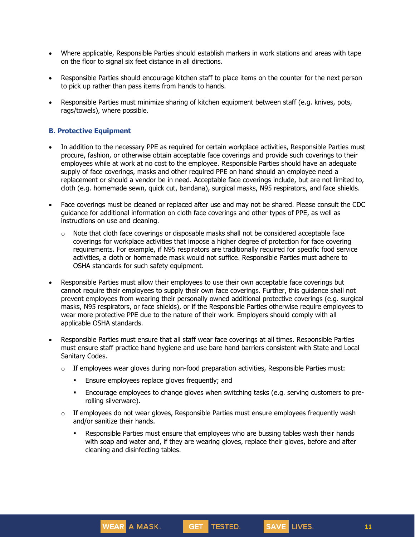- Where applicable, Responsible Parties should establish markers in work stations and areas with tape on the floor to signal six feet distance in all directions.
- Responsible Parties should encourage kitchen staff to place items on the counter for the next person to pick up rather than pass items from hands to hands.
- Responsible Parties must minimize sharing of kitchen equipment between staff (e.g. knives, pots, rags/towels), where possible.

### **B. Protective Equipment**

- In addition to the necessary PPE as required for certain workplace activities, Responsible Parties must procure, fashion, or otherwise obtain acceptable face coverings and provide such coverings to their employees while at work at no cost to the employee. Responsible Parties should have an adequate supply of face coverings, masks and other required PPE on hand should an employee need a replacement or should a vendor be in need. Acceptable face coverings include, but are not limited to, cloth (e.g. homemade sewn, quick cut, bandana), surgical masks, N95 respirators, and face shields.
- Face coverings must be cleaned or replaced after use and may not be shared. Please consult the CDC [guidance](https://www.cdc.gov/coronavirus/2019-ncov/community/guidance-business-response.html) for additional information on cloth face coverings and other types of PPE, as well as instructions on use and cleaning.
	- $\circ$  Note that cloth face coverings or disposable masks shall not be considered acceptable face coverings for workplace activities that impose a higher degree of protection for face covering requirements. For example, if N95 respirators are traditionally required for specific food service activities, a cloth or homemade mask would not suffice. Responsible Parties must adhere to OSHA standards for such safety equipment.
- Responsible Parties must allow their employees to use their own acceptable face coverings but cannot require their employees to supply their own face coverings. Further, this guidance shall not prevent employees from wearing their personally owned additional protective coverings (e.g. surgical masks, N95 respirators, or face shields), or if the Responsible Parties otherwise require employees to wear more protective PPE due to the nature of their work. Employers should comply with all applicable OSHA standards.
- Responsible Parties must ensure that all staff wear face coverings at all times. Responsible Parties must ensure staff practice hand hygiene and use bare hand barriers consistent with State and Local Sanitary Codes.
	- $\circ$  If employees wear gloves during non-food preparation activities, Responsible Parties must:
		- **Ensure employees replace gloves frequently; and**

WEAR A MASK.

- Encourage employees to change gloves when switching tasks (e.g. serving customers to prerolling silverware).
- $\circ$  If employees do not wear gloves, Responsible Parties must ensure employees frequently wash and/or sanitize their hands.
	- **Responsible Parties must ensure that employees who are bussing tables wash their hands** with soap and water and, if they are wearing gloves, replace their gloves, before and after cleaning and disinfecting tables.

GET TESTED.

SAVE LIVES.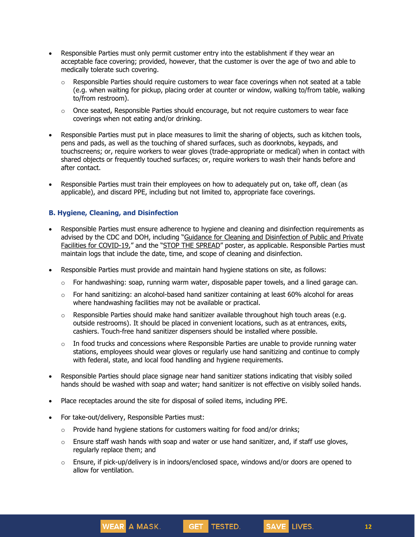- Responsible Parties must only permit customer entry into the establishment if they wear an acceptable face covering; provided, however, that the customer is over the age of two and able to medically tolerate such covering.
	- $\circ$  Responsible Parties should require customers to wear face coverings when not seated at a table (e.g. when waiting for pickup, placing order at counter or window, walking to/from table, walking to/from restroom).
	- $\circ$  Once seated, Responsible Parties should encourage, but not require customers to wear face coverings when not eating and/or drinking.
- Responsible Parties must put in place measures to limit the sharing of objects, such as kitchen tools, pens and pads, as well as the touching of shared surfaces, such as doorknobs, keypads, and touchscreens; or, require workers to wear gloves (trade-appropriate or medical) when in contact with shared objects or frequently touched surfaces; or, require workers to wash their hands before and after contact.
- Responsible Parties must train their employees on how to adequately put on, take off, clean (as applicable), and discard PPE, including but not limited to, appropriate face coverings.

### **B. Hygiene, Cleaning, and Disinfection**

- Responsible Parties must ensure adherence to hygiene and cleaning and disinfection requirements as advised by the CDC and DOH, including "Guidance for Cleaning and [Disinfection](https://coronavirus.health.ny.gov/system/files/documents/2020/03/cleaning_guidance_general_building.pdf) of Public and Private Facilities for [COVID-19](https://coronavirus.health.ny.gov/system/files/documents/2020/03/cleaning_guidance_general_building.pdf)," and the "STOP THE [SPREAD](https://coronavirus.health.ny.gov/system/files/documents/2020/04/13067_coronavirus_protectyourself_poster_042020.pdf)" poster, as applicable. Responsible Parties must maintain logs that include the date, time, and scope of cleaning and disinfection.
- Responsible Parties must provide and maintain hand hygiene stations on site, as follows:
	- $\circ$  For handwashing: soap, running warm water, disposable paper towels, and a lined garage can.
	- o For hand sanitizing: an alcohol-based hand sanitizer containing at least 60% alcohol for areas where handwashing facilities may not be available or practical.
	- $\circ$  Responsible Parties should make hand sanitizer available throughout high touch areas (e.g. outside restrooms). It should be placed in convenient locations, such as at entrances, exits, cashiers. Touch-free hand sanitizer dispensers should be installed where possible.
	- $\circ$  In food trucks and concessions where Responsible Parties are unable to provide running water stations, employees should wear gloves or regularly use hand sanitizing and continue to comply with federal, state, and local food handling and hygiene requirements.
- Responsible Parties should place signage near hand sanitizer stations indicating that visibly soiled hands should be washed with soap and water; hand sanitizer is not effective on visibly soiled hands.
- Place receptacles around the site for disposal of soiled items, including PPE.
- For take-out/delivery, Responsible Parties must:

WEAR A MASK.

- $\circ$  Provide hand hygiene stations for customers waiting for food and/or drinks;
- $\circ$  Ensure staff wash hands with soap and water or use hand sanitizer, and, if staff use gloves, regularly replace them; and
- $\circ$  Ensure, if pick-up/delivery is in indoors/enclosed space, windows and/or doors are opened to allow for ventilation.

GET TESTED.

SAVE LIVES.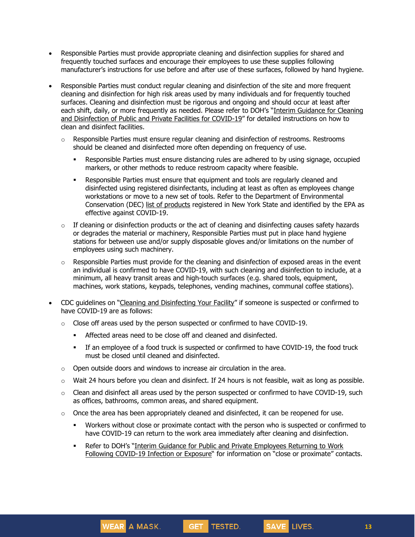- Responsible Parties must provide appropriate cleaning and disinfection supplies for shared and frequently touched surfaces and encourage their employees to use these supplies following manufacturer's instructions for use before and after use of these surfaces, followed by hand hygiene.
- Responsible Parties must conduct regular cleaning and disinfection of the site and more frequent cleaning and disinfection for high risk areas used by many individuals and for frequently touched surfaces. Cleaning and disinfection must be rigorous and ongoing and should occur at least after each shift, daily, or more frequently as needed. Please refer to DOH's "Interim [Guidance](https://coronavirus.health.ny.gov/system/files/documents/2020/03/cleaning_guidance_general_building.pdf) for Cleaning and [Disinfection](https://coronavirus.health.ny.gov/system/files/documents/2020/03/cleaning_guidance_general_building.pdf) of Public and Private Facilities for COVID-19" for detailed instructions on how to clean and disinfect facilities.
	- $\circ$  Responsible Parties must ensure regular cleaning and disinfection of restrooms. Restrooms should be cleaned and disinfected more often depending on frequency of use.
		- **•** Responsible Parties must ensure distancing rules are adhered to by using signage, occupied markers, or other methods to reduce restroom capacity where feasible.
		- **Responsible Parties must ensure that equipment and tools are regularly cleaned and** disinfected using registered disinfectants, including at least as often as employees change workstations or move to a new set of tools. Refer to the Department of Environmental Conservation (DEC) list of [products](http://www.dec.ny.gov/docs/materials_minerals_pdf/covid19.pdf) registered in New York State and identified by the EPA as effective against COVID-19.
	- $\circ$  If cleaning or disinfection products or the act of cleaning and disinfecting causes safety hazards or degrades the material or machinery, Responsible Parties must put in place hand hygiene stations for between use and/or supply disposable gloves and/or limitations on the number of employees using such machinery.
	- $\circ$  Responsible Parties must provide for the cleaning and disinfection of exposed areas in the event an individual is confirmed to have COVID-19, with such cleaning and disinfection to include, at a minimum, all heavy transit areas and high-touch surfaces (e.g. shared tools, equipment, machines, work stations, keypads, telephones, vending machines, communal coffee stations).
- CDC guidelines on "Cleaning and [Disinfecting](https://www.cdc.gov/coronavirus/2019-ncov/community/disinfecting-building-facility.html) Your Facility" if someone is suspected or confirmed to have COVID-19 are as follows:
	- $\circ$  Close off areas used by the person suspected or confirmed to have COVID-19.
		- Affected areas need to be close off and cleaned and disinfected.
		- If an employee of a food truck is suspected or confirmed to have COVID-19, the food truck must be closed until cleaned and disinfected.
	- $\circ$  Open outside doors and windows to increase air circulation in the area.

WEAR A MASK.

- o Wait 24 hours before you clean and disinfect. If 24 hours is not feasible, wait as long as possible.
- $\circ$  Clean and disinfect all areas used by the person suspected or confirmed to have COVID-19, such as offices, bathrooms, common areas, and shared equipment.
- $\circ$  Once the area has been appropriately cleaned and disinfected, it can be reopened for use.
	- Workers without close or proximate contact with the person who is suspected or confirmed to have COVID-19 can return to the work area immediately after cleaning and disinfection.
	- Refer to DOH's "Interim Guidance for Public and Private [Employees](https://coronavirus.health.ny.gov/system/files/documents/2020/06/doh_covid19_publicprivateemployeereturntowork_053120.pdf) Returning to Work Following [COVID-19](https://coronavirus.health.ny.gov/system/files/documents/2020/06/doh_covid19_publicprivateemployeereturntowork_053120.pdf) Infection or Exposure" for information on "close or proximate" contacts.

GET TESTED.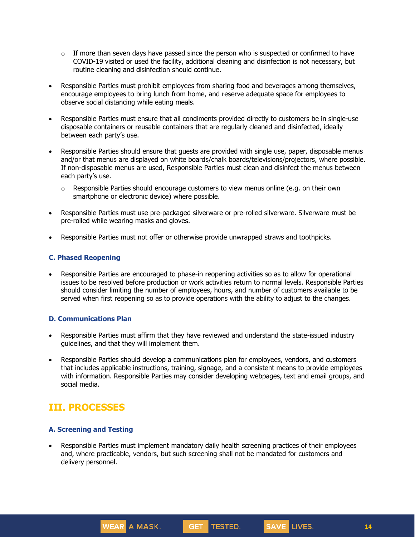- $\circ$  If more than seven days have passed since the person who is suspected or confirmed to have COVID-19 visited or used the facility, additional cleaning and disinfection is not necessary, but routine cleaning and disinfection should continue.
- Responsible Parties must prohibit employees from sharing food and beverages among themselves, encourage employees to bring lunch from home, and reserve adequate space for employees to observe social distancing while eating meals.
- Responsible Parties must ensure that all condiments provided directly to customers be in single-use disposable containers or reusable containers that are regularly cleaned and disinfected, ideally between each party's use.
- Responsible Parties should ensure that guests are provided with single use, paper, disposable menus and/or that menus are displayed on white boards/chalk boards/televisions/projectors, where possible. If non-disposable menus are used, Responsible Parties must clean and disinfect the menus between each party's use.
	- $\circ$  Responsible Parties should encourage customers to view menus online (e.g. on their own smartphone or electronic device) where possible.
- Responsible Parties must use pre-packaged silverware or pre-rolled silverware. Silverware must be pre-rolled while wearing masks and gloves.
- Responsible Parties must not offer or otherwise provide unwrapped straws and toothpicks.

#### **C. Phased Reopening**

• Responsible Parties are encouraged to phase-in reopening activities so as to allow for operational issues to be resolved before production or work activities return to normal levels. Responsible Parties should consider limiting the number of employees, hours, and number of customers available to be served when first reopening so as to provide operations with the ability to adjust to the changes.

#### **D. Communications Plan**

- Responsible Parties must affirm that they have reviewed and understand the state-issued industry guidelines, and that they will implement them.
- Responsible Parties should develop a communications plan for employees, vendors, and customers that includes applicable instructions, training, signage, and a consistent means to provide employees with information. Responsible Parties may consider developing webpages, text and email groups, and social media.

# **III. PROCESSES**

### **A. Screening and Testing**

WEAR A MASK.

• Responsible Parties must implement mandatory daily health screening practices of their employees and, where practicable, vendors, but such screening shall not be mandated for customers and delivery personnel.

GET TESTED.

SAVE LIVES.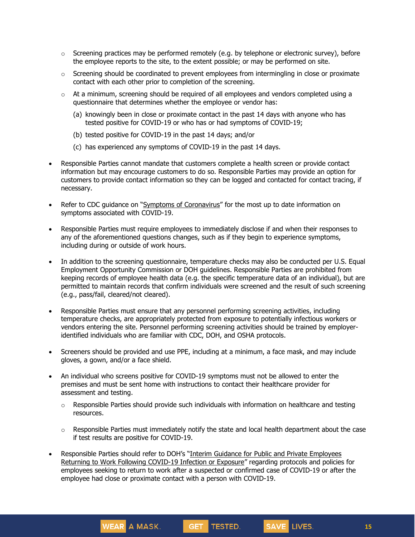- $\circ$  Screening practices may be performed remotely (e.g. by telephone or electronic survey), before the employee reports to the site, to the extent possible; or may be performed on site.
- $\circ$  Screening should be coordinated to prevent employees from intermingling in close or proximate contact with each other prior to completion of the screening.
- $\circ$  At a minimum, screening should be required of all employees and vendors completed using a questionnaire that determines whether the employee or vendor has:
	- (a) knowingly been in close or proximate contact in the past 14 days with anyone who has tested positive for COVID-19 or who has or had symptoms of COVID-19;
	- (b) tested positive for COVID-19 in the past 14 days; and/or
	- (c) has experienced any symptoms of COVID-19 in the past 14 days.
- Responsible Parties cannot mandate that customers complete a health screen or provide contact information but may encourage customers to do so. Responsible Parties may provide an option for customers to provide contact information so they can be logged and contacted for contact tracing, if necessary.
- Refer to CDC guidance on "Symptoms of [Coronavirus](https://www.cdc.gov/coronavirus/2019-ncov/symptoms-testing/symptoms.html)" for the most up to date information on symptoms associated with COVID-19.
- Responsible Parties must require employees to immediately disclose if and when their responses to any of the aforementioned questions changes, such as if they begin to experience symptoms, including during or outside of work hours.
- In addition to the screening questionnaire, temperature checks may also be conducted per U.S. Equal Employment Opportunity Commission or DOH guidelines. Responsible Parties are prohibited from keeping records of employee health data (e.g. the specific temperature data of an individual), but are permitted to maintain records that confirm individuals were screened and the result of such screening (e.g., pass/fail, cleared/not cleared).
- Responsible Parties must ensure that any personnel performing screening activities, including temperature checks, are appropriately protected from exposure to potentially infectious workers or vendors entering the site. Personnel performing screening activities should be trained by employeridentified individuals who are familiar with CDC, DOH, and OSHA protocols.
- Screeners should be provided and use PPE, including at a minimum, a face mask, and may include gloves, a gown, and/or a face shield.
- An individual who screens positive for COVID-19 symptoms must not be allowed to enter the premises and must be sent home with instructions to contact their healthcare provider for assessment and testing.
	- $\circ$  Responsible Parties should provide such individuals with information on healthcare and testing resources.
	- $\circ$  Responsible Parties must immediately notify the state and local health department about the case if test results are positive for COVID-19.

GET TESTED.

SAVE LIVES.

• Responsible Parties should refer to DOH's "Interim Guidance for Public and Private [Employees](https://coronavirus.health.ny.gov/system/files/documents/2020/06/doh_covid19_publicprivateemployeereturntowork_053120.pdf) Returning to Work Following [COVID-19](https://coronavirus.health.ny.gov/system/files/documents/2020/06/doh_covid19_publicprivateemployeereturntowork_053120.pdf) Infection or Exposure" regarding protocols and policies for employees seeking to return to work after a suspected or confirmed case of COVID-19 or after the employee had close or proximate contact with a person with COVID-19.

WEAR A MASK.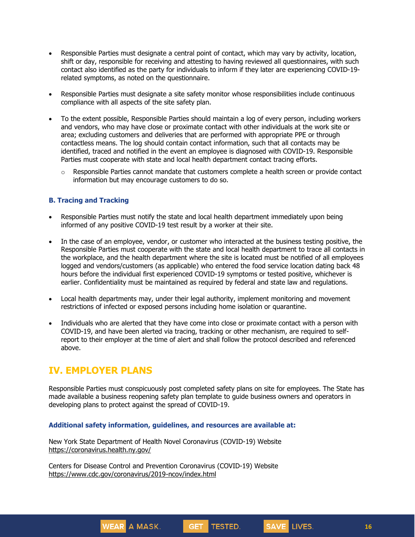- Responsible Parties must designate a central point of contact, which may vary by activity, location, shift or day, responsible for receiving and attesting to having reviewed all questionnaires, with such contact also identified as the party for individuals to inform if they later are experiencing COVID-19 related symptoms, as noted on the questionnaire.
- Responsible Parties must designate a site safety monitor whose responsibilities include continuous compliance with all aspects of the site safety plan.
- To the extent possible, Responsible Parties should maintain a log of every person, including workers and vendors, who may have close or proximate contact with other individuals at the work site or area; excluding customers and deliveries that are performed with appropriate PPE or through contactless means. The log should contain contact information, such that all contacts may be identified, traced and notified in the event an employee is diagnosed with COVID-19. Responsible Parties must cooperate with state and local health department contact tracing efforts.
	- $\circ$  Responsible Parties cannot mandate that customers complete a health screen or provide contact information but may encourage customers to do so.

#### **B. Tracing and Tracking**

- Responsible Parties must notify the state and local health department immediately upon being informed of any positive COVID-19 test result by a worker at their site.
- In the case of an employee, vendor, or customer who interacted at the business testing positive, the Responsible Parties must cooperate with the state and local health department to trace all contacts in the workplace, and the health department where the site is located must be notified of all employees logged and vendors/customers (as applicable) who entered the food service location dating back 48 hours before the individual first experienced COVID-19 symptoms or tested positive, whichever is earlier. Confidentiality must be maintained as required by federal and state law and regulations.
- Local health departments may, under their legal authority, implement monitoring and movement restrictions of infected or exposed persons including home isolation or quarantine.
- Individuals who are alerted that they have come into close or proximate contact with a person with COVID-19, and have been alerted via tracing, tracking or other mechanism, are required to selfreport to their employer at the time of alert and shall follow the protocol described and referenced above.

## **IV. EMPLOYER PLANS**

Responsible Parties must conspicuously post completed safety plans on site for employees. The State has made available a business reopening safety plan template to guide business owners and operators in developing plans to protect against the spread of COVID-19.

GET TESTED.

#### **Additional safety information, guidelines, and resources are available at:**

New York State Department of Health Novel Coronavirus (COVID-19) Website <https://coronavirus.health.ny.gov/>

Centers for Disease Control and Prevention Coronavirus (COVID-19) Website <https://www.cdc.gov/coronavirus/2019-ncov/index.html>

WEAR A MASK.